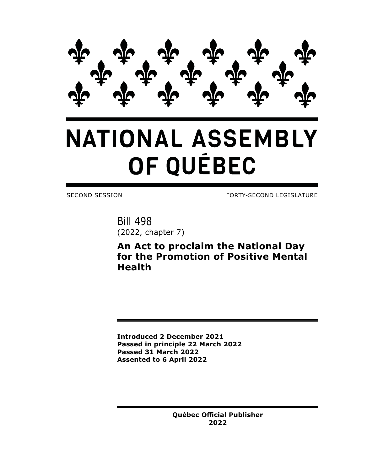

## **NATIONAL ASSEMBLY** OF QUÉBEC

SECOND SESSION FORTY-SECOND LEGISLATURE

Bill 498 (2022, chapter 7)

**An Act to proclaim the National Day for the Promotion of Positive Mental Health**

**Introduced 2 December 2021 Passed in principle 22 March 2022 Passed 31 March 2022 Assented to 6 April 2022**

> **Québec Official Publisher 2022**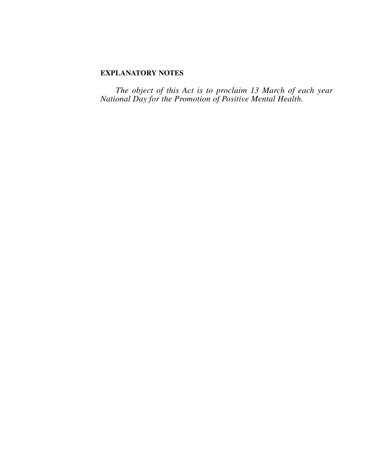## **EXPLANATORY NOTES**

*The object of this Act is to proclaim 13 March of each year National Day for the Promotion of Positive Mental Health.*